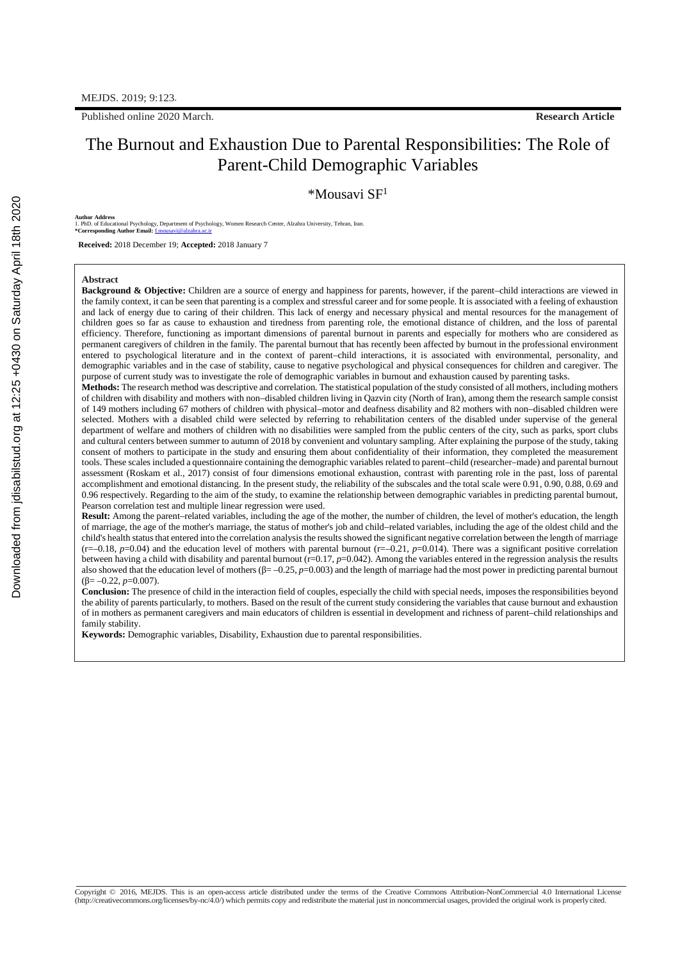Published online 2020 March. **Research Article**

# The Burnout and Exhaustion Due to Parental Responsibilities: The Role of Parent-Child Demographic Variables

 $*$ Mousavi SF<sup>1</sup>

**Author Address**

1. PhD. of Educational Psychology, Department of Psychology, Women Research Center, Alzahra University, Tehran, Iran. **\*Corresponding Author Email:** f.mousavi@alzahra.ac.ir

**Received:** 2018 December 19; **Accepted:** 2018 January 7

#### **Abstract**

**Background & Objective:** Children are a source of energy and happiness for parents, however, if the parent–child interactions are viewed in the family context, it can be seen that parenting is a complex and stressful career and for some people. It is associated with a feeling of exhaustion and lack of energy due to caring of their children. This lack of energy and necessary physical and mental resources for the management of children goes so far as cause to exhaustion and tiredness from parenting role, the emotional distance of children, and the loss of parental efficiency. Therefore, functioning as important dimensions of parental burnout in parents and especially for mothers who are considered as permanent caregivers of children in the family. The parental burnout that has recently been affected by burnout in the professional environment entered to psychological literature and in the context of parent–child interactions, it is associated with environmental, personality, and demographic variables and in the case of stability, cause to negative psychological and physical consequences for children and caregiver. The purpose of current study was to investigate the role of demographic variables in burnout and exhaustion caused by parenting tasks.

**Methods:** The research method was descriptive and correlation. The statistical population of the study consisted of all mothers, including mothers of children with disability and mothers with non–disabled children living in Qazvin city (North of Iran), among them the research sample consist of 149 mothers including 67 mothers of children with physical–motor and deafness disability and 82 mothers with non–disabled children were selected. Mothers with a disabled child were selected by referring to rehabilitation centers of the disabled under supervise of the general department of welfare and mothers of children with no disabilities were sampled from the public centers of the city, such as parks, sport clubs and cultural centers between summer to autumn of 2018 by convenient and voluntary sampling. After explaining the purpose of the study, taking consent of mothers to participate in the study and ensuring them about confidentiality of their information, they completed the measurement tools. These scales included a questionnaire containing the demographic variables related to parent–child (researcher–made) and parental burnout assessment (Roskam et al., 2017) consist of four dimensions emotional exhaustion, contrast with parenting role in the past, loss of parental accomplishment and emotional distancing. In the present study, the reliability of the subscales and the total scale were 0.91, 0.90, 0.88, 0.69 and 0.96 respectively. Regarding to the aim of the study, to examine the relationship between demographic variables in predicting parental burnout, Pearson correlation test and multiple linear regression were used.

**Result:** Among the parent–related variables, including the age of the mother, the number of children, the level of mother's education, the length of marriage, the age of the mother's marriage, the status of mother's job and child–related variables, including the age of the oldest child and the child's health status that entered into the correlation analysis the results showed the significant negative correlation between the length of marriage  $(r=-0.18, p=0.04)$  and the education level of mothers with parental burnout  $(r=-0.21, p=0.014)$ . There was a significant positive correlation between having a child with disability and parental burnout (r=0.17, p=0.042). Among the variables entered in the regression analysis the results also showed that the education level of mothers (β= –0.25, *p*=0.003) and the length of marriage had the most power in predicting parental burnout  $(\beta = -0.22, p=0.007)$ .

**Conclusion:** The presence of child in the interaction field of couples, especially the child with special needs, imposes the responsibilities beyond the ability of parents particularly, to mothers. Based on the result of the current study considering the variables that cause burnout and exhaustion of in mothers as permanent caregivers and main educators of children is essential in development and richness of parent–child relationships and family stability.

**Keywords:** Demographic variables, Disability, Exhaustion due to parental responsibilities.

Copyright © 2016, MEJDS. This is an open-access article distributed under the terms of the Creative Commons Attribution-NonCommercial 4.0 International License (http://creativecommons.org/licenses/by-nc/4.0/) which permits copy and redistribute the material just in noncommercial usages, provided the original work is properlycited.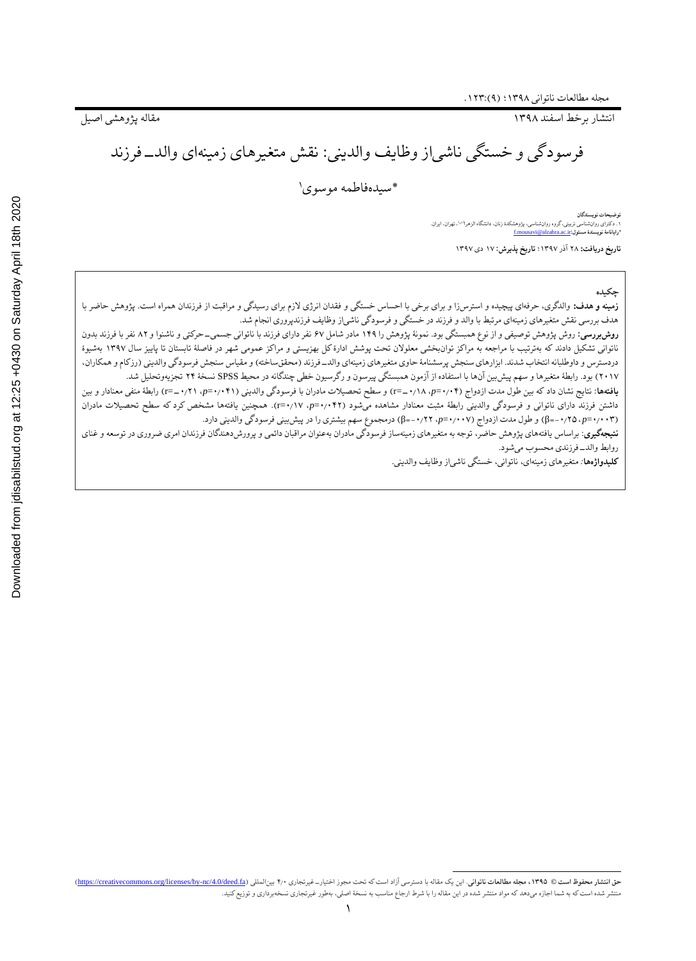انتشار برخط اسفند 1۳۹۸ مقاله پژوهشی اصیل

فرسودگی و خستگی ناشیاز وظایف والدینی: نقش متغیرهای زمینهای والد-فرزند

1 \*سیدهفاطمه موسوی

**توضیحات نویسندگان** ۱. دکترای روانشناسی تربیتی، گروه روانشناسی، پژوهشکدهٔ زنان، دانشگاه الزهرا<sup>(س)</sup>، تهران، ایران. **\*رایانامٔه نویسندٔه مسئول:**ir.ac.alzahra@mousavi.f

**تاریخ دریافت:** ۲۸ آذر 1۳۹۷؛ **تاریخ پذیرش:** 1۷ دی 1۳۹۷

#### **چکیده**

**زمینه و هدف:** والدگری، حرفهای پیچیده و استرسi و برای برخی با احساس خستگی و فقدان انرژی لازم برای رسیدگی و مراقبت از فرزندان همراه است. پژوهش حاضر با هدف بررسی نقش متغیرهای زمینهای مرتبط با والد و فرزند در خستگی و فرسودگی ناشیاز وظایف فرزندپروری انجام شد.

**روشبررسی:** روش پژوهش توصیفی و از نوع همبستگی بود. نمونٔه پژوهش را 1۴۹ مادر شامل ۶۷ نفر دارای فرزند با ناتوانی جسمی-حرکتی و ناشنوا و ۸۲ نفر با فرزند بدون ناتوانی تشکیل دادند که بهترتیب با مراجعه به مراکز توانبخشی معلوالن تحت پوشش ادارٔه کل بهزیستی و مراکز عمومی شهر در فاصلٔه تابستان تا پاییز سال 1۳۹۷ بهشیؤه دردسترس و داوطلبانه انتخاب شدند. ابزارهای سنجش پرسشنامهٔ حاوی متغیرهای زمینهای والد\_فرزند (محققساخته) و مقیاس سنجش فرسودگی والدینی (رزکام و همکاران، ۲۰1۷( بود. رابطٔه متغیرها و سهم پیشبین آنها با استفاده از آزمون همبستگی پیرسون و رگرسیون خطی چندگانه در محیط SPSS نسخٔه ۲۴ تجزیهوتحلیل شد.

**یافتهها**: نتایج نشان داد که بین طول مدت ازدواج )۰٫۰۴=*p*، -۰٫1۸=r )و سطح تحصیالت مادران با فرسودگی والدینی )۰٫۰۴1=*p*، -۰٫۲1=r )رابطٔه منفی معنادار و بین داشتن فرزند دارای ناتوانی و فرسودگی والدینی رابطٔه مثبت معنادار مشاهده میشود )۰٫۰۴۲=*p*، ۰٫1۷=r). همچنین یافتهها مشخص کرد که سطح تحصیالت مادران )۰٫۰۰۳=*p،* -۰٫۲۵=β )و طول مدت ازدواج )۰٫۰۰۷=*p*، -۰٫۲۲=β )درمجموع سهم بیشتری را در پیشبینی فرسودگی والدینی دارد.

**نتیجهگیری**: براساس یافتههای پژوهش حاضر، توجه به متغیرهای زمینهساز فرسودگی مادران بهعنوان مراقبان داپره مواشدهندگان فرزندان امری ضروری در توسعه و غنای روابط والد-فرزندی محسوب میشود.

**کلیدواژهها***:* متغیرهای زمینهای، ناتوانی، خستگی ناشیاز وظایف والدینی.

حق انتشار محفوظ است © ۱۳۹۵، مجله مطالعات ناتواني. اين يک مقاله با دسترسي آزاد است که تحت مجوز اختيار\_غيرتجاري ۴٫۰ بينالمللي (<u>nons.org/licenses/by-nc/4.0/deed.fa</u> منتشر شده استکه به شما اجازه میدهد که مواد منتشر شده در این مقاله را با شرط ارجاع مناسب به نسخٔه اصلی، بهطور غیرتجاری نسخهبرداری و توزیعکنید.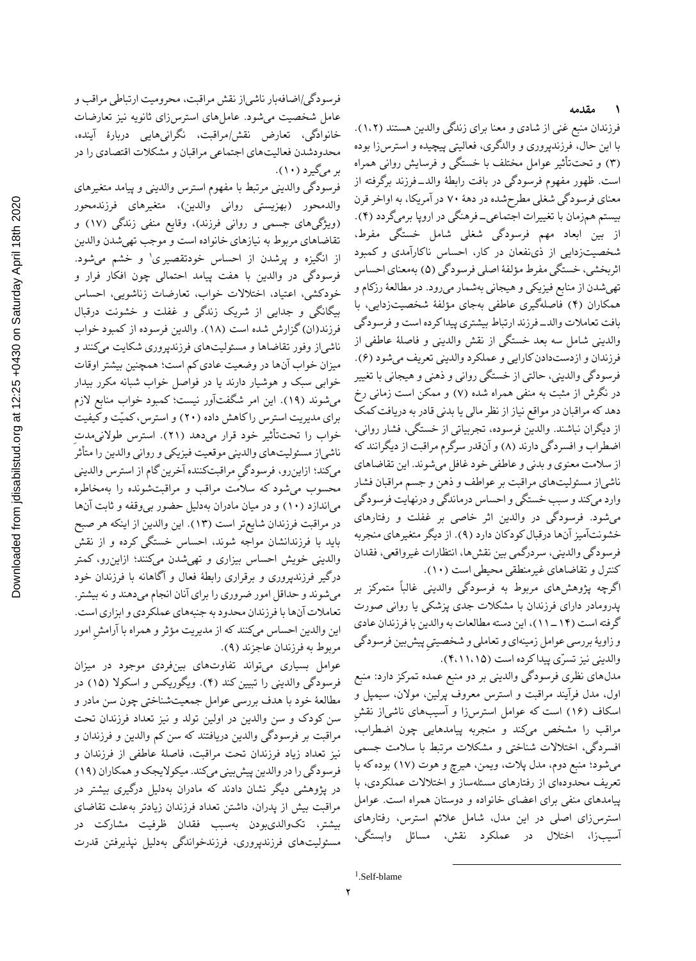فرزندان منبع غنی از شادی و معنا برای زندگی والدین هستند )1،۲(. با این حال، فرزندپروری و والدگری، فعالیتی پیچیده و استرسزا بوده )۳( و تحتتأثیر عوامل مختلف با خستگی و فرسایش روانی همراه است. ظهور مفهوم فرسودگی در بافت رابطٔه والد-فرزند برگرفته از معنای فرسودگی شغلی مطرحشده در دهٔه ۷۰ در آمریکا، به اواخر قرن بیستم همزمان با تغییرات اجتماعی-فرهنگی در اروپا برمیگردد )۴(. از بین ابعاد مهم فرسودگی شغلی شامل خستگی مفرط، شخصیتزدایی از ذینفعان در کار، احساس ناکارآمدی و کمبود اثربخشی، خستگی مفرط مؤلفٔه اصلی فرسودگی )۵( بهمعنای احساس تهیشدن از منابع فیزیکی و هیجانی بهشمار میرود. در مطالعٔه رزکام و همکاران )۴( فاصلهگیری عاطفی بهجای مؤلفٔه شخصیتزدایی، با بافت تعامالت والد-فرزند ارتباط بیشتری پیدا کرده است و فرسودگی والدینی شامل سه بعد خستگی از نقش والدینی و فاصلٔه عاطفی از فرزندان و ازدستدادن کارایی و عملکرد والدینی تعریف میشود (۶). فرسودگی والدینی، حالتی از خستگی روانی و ذهنی و هیجانی با تغییر در نگرش از مثبت به منفی همراه شده )۷( و ممکن است زمانی رخ دهد که مراقبان در مواقع نیاز از نظر مالی یا بدنی قادر به دریافت کمک از دیگران نباشند. والدین فرسوده، تجربیاتی از خستگی، فشار روانی، اضطراب و افسردگی دارند (۸) و آنقدر سرگرم مراقبت از دیگرانند که از سالمت معنوی و بدنی و عاطفی خود غافل میشوند. این تقاضاهای ناشیاز مسئولیتهای مراقبت بر عواطف و ذهن و جسم مراقبان فشار وارد میکند و سبب خستگی و احساس درماندگی و درنهایت فرسودگی میشود. فرسودگی در والدین اثر خاصی بر غفلت و رفتارهای خشونتآمیز آنها درقبالکودکان دارد )۹(. از دیگر متغیرهای منجربه فرسودگی والدینی، سردرگمی بین نقشها، انتظارات غیرواقعی، فقدان کنترل و تقاضاهای غیرمنطقی محیطی است )1۰(.

اگرچه پژوهشهای مربوط به فرسودگی والدینی غالباً متمرکز بر پدرومادر دارای فرزندان با مشکالت جدی پزشکی یا روانی صورت گرفته است (۱۴ ـ ۱۱)، این دسته مطالعات به والدین با فرزندان عادی و زاویٔه بررسی عوامل زمینهای و تعاملی و شخصیتیِ پیشبین فرسودگی والدینی نیز تسرّی پیدا کرده است )۴،11،1۵(.

مدلهای نظری فرسودگی والدینی بر دو منبع عمده تمرکز دارد: منبع اول، مدل فرآیند مراقبت و استرس معروف پرلین، موالن، سیمپل و اسکاف )1۶( است که عوامل استرسزا و آسیبهای ناشیاز نقشِ مراقب را مشخص میکند و منجربه پیامدهایی چون اضطراب، افسردگی، اختالالت شناختی و مشکالت مرتبط با سالمت جسمی میشود؛ منبع دوم، مدل پالت، ویمن، هیرچ و هوت )1۷( بوده که با تعریف محدودهای از رفتارهای مسئلهساز و اختالالت عملکردی، با پیامدهای منفی برای اعضای خانواده و دوستان همراه است. عوامل استرسزای اصلی در این مدل، شامل عالئم استرس، رفتارهای آسیبزا، اختالل در عملکرد نقش، مسائل وابستگی،

فرسودگی/اضافهبار ناشیاز نقش مراقبت، محرومیت ارتباطی مراقب و عامل شخصیت میشود. عاملهای استرسزای ثانویه نیز تعارضات خانوادگی، تعارض نقش/مراقبت، نگرانیهایی دربارٔه آینده، محدودشدن فعالیتهای اجتماعی مراقبان و مشکالت اقتصادی را در بر میگیرد (۱۰).

فرسودگی والدینی مرتبط با مفهوم استرس والدینی و پیامد متغیرهای والدمحور (بهزیستی روانی والدین)، متغیرهای فرزندمحور (ویژگیهای جسمی و روانی فرزند)، وقایع منفی زندگی (۱۷) و تقاضاهای مربوط به نیازهای خانواده است و موجب تهیشدن والدین از انگیزه و پرشدن از احساس خودتقصیری' و خشم میشود. فرسودگی در والدین با هفت پیامد احتمالی چون افکار فرار و خودکشی، اعتیاد، اختالالت خواب، تعارضات زناشویی، احساس بیگانگی و جدایی از شریک زندگی و غفلت و خشونت درقبال فرزند(ان) گزارش شده است (۱۸). والدین فرسوده از کمبود خواب ناشیاز وفور تقاضاها و مسئولیتهای فرزندپروری شکایت میکنند و میزان خواب آنها در وضعیت عادی کم است؛ همچنین بیشتر اوقات خوابی سبک و هوشیار دارند یا در فواصل خواب شبانه مکرر بیدار میشوند )1۹(. این امر شگفتآور نیست؛ کمبود خواب منابع الزم برای مدیریت استرس را کاهش داده )۲۰( و استرس، کمیّت و کیفیت خواب را تحتتأثیر خود قرار میدهد )۲1(. استرس طوالنیمدتِ ناشیاز مسئولیتهای والدینی موقعیت فیزیکی و روانی والدین را متأثر میکند؛ ازاینرو، فرسودگیِ مراقبتکننده آخرین گام از استرس والدینی محسوب میشود که سالمت مراقب و مراقبتشونده را بهمخاطره میاندازد (۱۰) و در میان مادران بهدلیل حضور بی وقفه و ثابت آنها در مراقبت فرزندان شایعتر است )1۳(. این والدین از اینکه هر صبح باید با فرزندانشان مواجه شوند، احساس خستگی کرده و از نقش والدینی خویش احساس بیزاری و تهیشدن میکنند؛ ازاینرو، کمتر درگیر فرزندپروری و برقراری رابطٔه فعال و آگاهانه با فرزندان خود میشوند و حداقل امور ضروری را برای آنان انجام میدهند و نه بیشتر. تعامالت آنها با فرزندان محدودبه جنبههای عملکردی و ابزاری است. این والدین احساس میکنند که از مدیریت مؤثر و همراه با آرامشِ امور مربوط به فرزندان عاجزند )۹(.

عوامل بسیاری میتواند تفاوتهای بینفردی موجود در میزان فرسودگی والدینی را تبیین کند )۴(. ویگوریکس و اسکوال )1۵( در مطالعٔه خود با هدف بررسی عوامل جمعیتشناختی چون سن مادر و سن کودک و سن والدین در اولین تولد و نیز تعداد فرزندان تحت مراقبت بر فرسودگی والدین دریافتند که سن کم والدین و فرزندان و نیز تعداد زیاد فرزندان تحت مراقبت، فاصلٔه عاطفی از فرزندان و فرسودگی را در والدین پیش بینی میکند. میکولایجک و همکاران (۱۹) در پژوهشی دیگر نشان دادند که مادران بهدلیل درگیری بیشتر در مراقبت بیش از پدران، داشتن تعداد فرزندان زیادتر بهعلت تقاضای بیشتر، تکوالدیبودن بهسبب فقدان ظرفیت مشارکت در مسئولیتهای فرزندپروری، فرزندخواندگی بهدلیل نپذیرفتن قدرت

<sup>1</sup> .Self-blame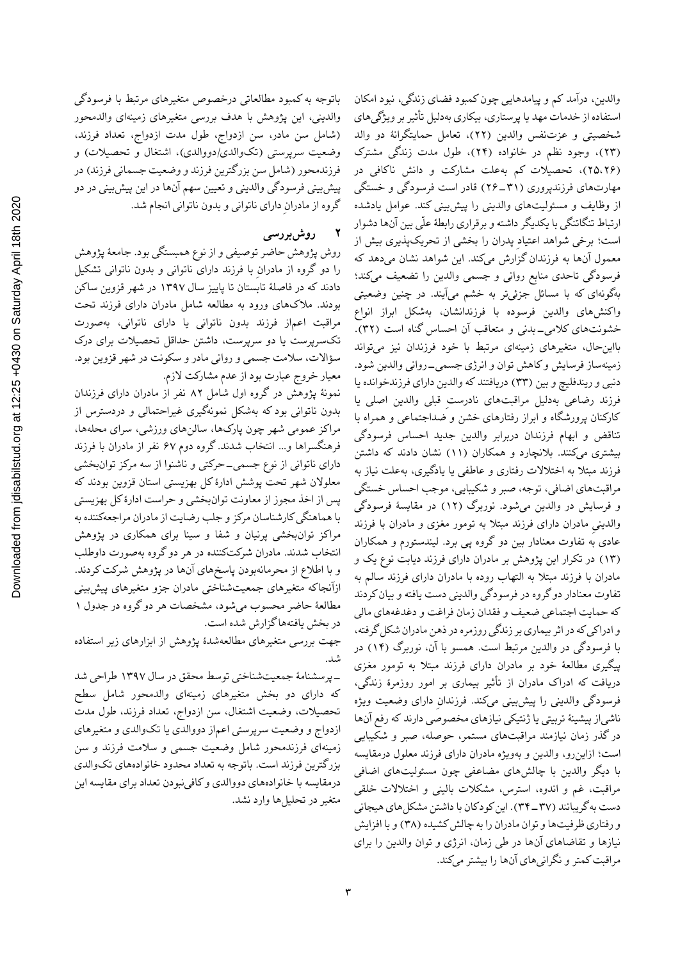Downloaded from jdisabilstud.org at 12:25 +0430 on Saturday April 18th 2020 [Downloaded from jdisabilstud.org at 12:25 +0430 on Saturday April 18th 2020](https://jdisabilstud.org/article-1-1282-fa.html)

باتوجه به کمبود مطالعاتی درخصوص متغیرهای مرتبط با فرسودگی والدینی، این پژوهش با هدف بررسی متغیرهای زمینهای والدمحور )شامل سن مادر، سن ازدواج، طول مدت ازدواج، تعداد فرزند، وضعیت سرپرستی (تکوالدی/دووالدی)، اشتغال و تحصیلات) و فرزندمحور (شامل سن بزرگترین فرزند و وضعیت جسمانی فرزند) در پیشبینی فرسودگی والدینی و تعیین سهم آنها در این پیشبینی در دو گروه از مادرانِ دارای ناتوانی و بدون ناتوانی انجام شد.

**2 روشبررسی**

روش پژوهش حاضر توصیفی و از نوع همبستگی بود. جامعٔه پژوهش را دو گروه از مادرانِ با فرزند دارای ناتوانی و بدون ناتوانی تشکیل دادند که در فاصلٔه تابستان تا پاییز سال 1۳۹۷ در شهر قزوین ساکن بودند. مالکهای ورود به مطالعه شامل مادران دارای فرزند تحت مراقبت اعماز فرزند بدون ناتوانی یا دارای ناتوانی، بهصورت تکسرپرست یا دو سرپرست، داشتن حداقل تحصیالت برای درک سؤاالت، سالمت جسمی و روانی مادر و سکونت در شهر قزوین بود. معیار خروج عبارت بود از عدم مشارکت الزم.

نمونٔه پژوهش در گروه اول شامل ۸۲ نفر از مادران دارای فرزندان بدون ناتوانی بود که بهشکل نمونهگیری غیراحتمالی و دردسترس از مراکز عمومی شهر چون پارکها، سالنهای ورزشی، سرای محلهها، فرهنگسراها و... انتخاب شدند. گروه دوم ۶۷ نفر از مادران با فرزند دارای ناتوانی از نوع جسمی-حرکتی و ناشنوا از سه مرکز توانبخشی معلوالن شهر تحت پوشش ادارٔه کل بهزیستی استان قزوین بودند که پس از اخذ مجوز از معاونت توانبخشی و حراست ادارٔه کل بهزیستی با هماهنگی کارشناسان مرکز و جلب رضایت از مادران مراجعهکننده به مراکز توانبخشی پرنیان و شفا و سینا برای همکاری در پژوهش انتخاب شدند. مادران شرکتکننده در هر دو گروه بهصورت داوطلب و با اطالع از محرمانهبودن پاسخهای آنها در پژوهش شرکت کردند. ازآنجاکه متغیرهای جمعیتشناختی مادران جزو متغیرهای پیشبینی مطالعٔه حاضر محسوب میشود، مشخصات هر دو گروه در جدول 1 در بخش یافتهها گزارش شده است.

جهت بررسی متغیرهای مطالعهشدٔه پژوهش از ابزارهای زیر استفاده شد.

که دارای دو بخش متغیرهای زمینهای والدمحور شامل سطح-پرسشنامٔه جمعیتشناختی توسط محقق در سال 1۳۹۷ طراحی شد تحصیالت، وضعیت اشتغال، سن ازدواج، تعداد فرزند، طول مدت ازدواج و وضعیت سرپرستی اعماز دووالدی یا تکوالدی و متغیرهای زمینهای فرزندمحور شامل وضعیت جسمی و سالمت فرزند و سن بزرگترین فرزند است. باتوجه به تعداد محدود خانوادههای تکوالدی درمقایسه با خانوادههای دووالدی و کافینبودن تعداد برای مقایسه این متغیر در تحلیلها وارد نشد. والدین، درآمد کم و پیامدهایی چون کمبود فضای زندگی، نبود امکان استفاده از خدمات مهد یا پرستاری، بیکاری بهدلیل تأثیر بر ویژگیهای شخصیتی و عزتنفس والدین )۲۲(، تعامل حمایتگرانٔه دو والد )۲۳(، وجود نظم در خانواده )۲۴(، طول مدت زندگی مشترک )۲۵،۲۶(، تحصیالت کم بهعلت مشارکت و دانش ناکافی در مهارتهای فرزندپروری )۲۶-۳1( قادر است فرسودگی و خستگی از وظایف و مسئولیتهای والدینی را پیشبینی کند. عوامل یادشده ارتباط تنگاتنگی با یکدیگر داشته و برقراری رابطٔه علّی بین آنها دشوار است؛ برخی شواهد اعتیادِ پدران را بخشی از تحریکپذیری بیش از معمول آنها به فرزندان گزارش میکند. این شواهد نشان میدهد که فرسودگی تاحدی منابع روانی و جسمی والدین را تضعیف میکند؛ بهگونهای که با مسائل جزئیتر به خشم میآیند. در چنین وضعیتی واکنشهای والدین فرسوده با فرزندانشان، بهشکل ابراز انواع خشونتهای کلامی\_بدنی و متعاقب آن احساس گناه است (۳۲). بااینحال، متغیرهای زمینهای مرتبط با خود فرزندان نیز میتواند زمینهساز فرسایش و کاهش توان و انرژی جسمی-روانی والدین شود. دنبی و ریندفلیچ و بین )۳۳( دریافتند که والدین دارای فرزندخوانده یا فرزند رضاعی بهدلیل مراقبتهای نادرستِ قبلی والدین اصلی یا کارکنان پرورشگاه و ابراز رفتارهای خشن و ضداجتماعی و همراه با تناقض و ابهام فرزندان دربرابر والدین جدید احساس فرسودگی بیشتری میکنند. بالنچارد و همکاران )11( نشان دادند که داشتن فرزند مبتال به اختالالت رفتاری و عاطفی یا یادگیری، بهعلت نیاز به مراقبتهای اضافی، توجه، صبر و شکیبایی، موجب احساس خستگی و فرسایش در والدین میشود. نوربرگ )1۲( در مقایسٔه فرسودگی والدینیِ مادران دارای فرزند مبتال به تومور مغزی و مادران با فرزند عادی به تفاوت معنادار بین دو گروه پی برد. لیندستورم و همکاران )1۳( در تکرار این پژوهش بر مادران دارای فرزند دیابت نوع یک و مادران با فرزند مبتال به التهاب روده با مادران دارای فرزند سالم به تفاوت معنادار دو گروه در فرسودگی والدینی دست یافته و بیان کردند که حمایت اجتماعی ضعیف و فقدان زمان فراغت و دغدغههای مالی و ادراکی که در اثر بیماری بر زندگی روزمره در ذهن مادران شکل گرفته، با فرسودگی در والدین مرتبط است. همسو با آن، نوربرگ )1۴( در پیگیری مطالعٔه خود بر مادران دارای فرزند مبتال به تومور مغزی دریافت که ادراک مادران از تأثیر بیماری بر امور روزمرٔه زندگی، فرسودگی والدینی را پیشبینی میکند. فرزندانِ دارای وضعیت ویژه ناشیاز پیشینٔه تربیتی یا ژنتیکی نیازهای مخصوصی دارند که رفع آنها در گذر زمان نیازمند مراقبتهای مستمر، حوصله، صبر و شکیبایی است؛ ازاینرو، والدین و بهویژه مادران دارای فرزند معلول درمقایسه با دیگر والدین با چالشهای مضاعفی چون مسئولیتهای اضافی مراقبت، غم و اندوه، استرس، مشکالت بالینی و اختالالت خلقی دست به گریبانند )۳۴-۳۷(. این کودکان با داشتن مشکلهای هیجانی و رفتاری ظرفیتها و توان مادران را به چالش کشیده )۳۸( و با افزایش نیازها و تقاضاهای آنها در طی زمان، انرژی و توان والدین را برای مراقبت کمتر و نگرانیهای آنها را بیشتر میکند.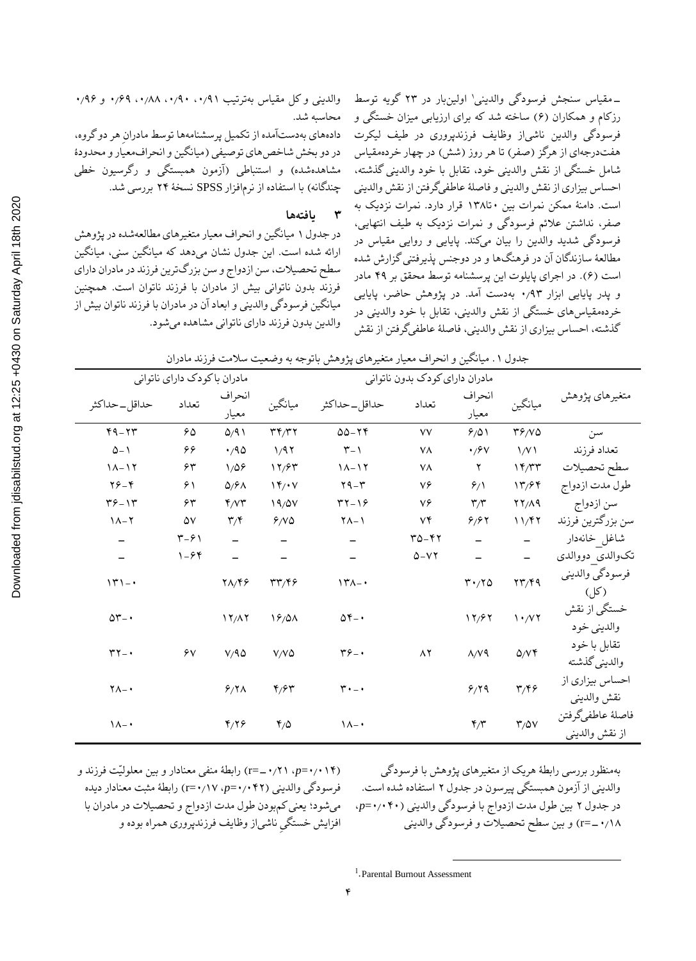ــ مقیاس سنجش فرسودگی والدین<sub>ی</sub>' اولینبار در ۲۳ گویه توسط رزکام و همکاران )۶( ساخته شد که برای ارزیابی میزان خستگی و فرسودگی والدین ناشیاز وظایف فرزندپروری در طیف لیکرت هفتدرجهای از هرگز (صفر) تا هر روز (شش) در چهار خردهمقیاس شامل خستگی از نقش والدینی خود، تقابل با خود والدینی گذشته، احساس بیزاری از نقش والدینی و فاصلٔه عاطفیگرفتن از نقش والدینی است. دامنٔه ممکن نمرات بین ۰تا1۳۸ قرار دارد. نمرات نزدیک به صفر، نداشتن عالئم فرسودگی و نمرات نزدیک به طیف انتهایی، فرسودگی شدید والدین را بیان میکند. پایایی و روایی مقیاس در مطالعٔه سازندگان آن در فرهنگها و در دوجنس پذیرفتنی گزارش شده است )۶(. در اجرای پایلوت این پرسشنامه توسط محقق بر ۴۹ مادر و پدر پایایی ابزار ۰٫۹۳ بهدست آمد. در پژوهش حاضر، پایایی خردهمقیاسهای خستگی از نقش والدینی، تقابل با خود والدینی در

گذشته، احساس بیزاری از نقش والدینی، فاصلٔه عاطفیگرفتن از نقش

والدینی و کل مقیاس بهترتیب ،۰٫۹1 ،۰٫۹۰ ،۰٫۸۸ ۰٫۶۹ و ۰٫۹۶ محاسبه شد. دادههای بهدستآمده از تکمیل پرسشنامهها توسط مادرانِ هر دو گروه، در دو بخش شاخص های توصیفی (میانگین و انحرافمعیار و محدودهٔ مشاهدهشده) و استنباطی (آزمون همبستگی و رگرسیون خطی چندگانه) با استفاده از نرمافزار SPSS نسخهٔ ۲۴ بررسی شد.

### **۳ یافتهها**

در جدول 1 میانگین و انحراف معیار متغیرهای مطالعهشده در پژوهش ارائه شده است. این جدول نشان میدهد که میانگین سنی، میانگین سطح تحصیالت، سن ازدواج و سن بزرگترین فرزند در مادران دارای فرزند بدون ناتوانی بیش از مادران با فرزند ناتوان است. همچنین میانگین فرسودگی والدینی و ابعاد آن در مادران با فرزند ناتوان بیش از والدین بدون فرزند دارای ناتوانی مشاهده میشود.

| مادران باكودك داراي ناتواني |                            |                         |                                       | مادران دارای کودک بدون ناتوانی |          |                               |                                                 |                                     |
|-----------------------------|----------------------------|-------------------------|---------------------------------------|--------------------------------|----------|-------------------------------|-------------------------------------------------|-------------------------------------|
| حداقل _حداكثر               | تعداد                      | انحراف<br>معيار         | ميانگين                               | حداقل_حداكثر                   | تعداد    | انحراف<br>معيار               | ميانگين                                         | متغيرهاي پژوهش                      |
| $49 - 77$                   | ۶۵                         | 0/91                    | $\mathbf{r} \mathbf{r}/\mathbf{r}$    | $00 - 79$                      | ٧V       | 9/01                          | $\mathbf{r} \mathbf{s} / \mathbf{v} \mathbf{o}$ | سن                                  |
| $\Delta - 1$                | ۶۶                         | $\cdot$ /90             | 1/97                                  | $\mathbf{Y}-\mathbf{Y}$        | ٧٨       | $\cdot$ / $9$ V               | $\sqrt{V}$                                      | تعداد فرزند                         |
| $11 - 17$                   | ۶۳                         | 1/09                    | 17/87                                 | $1 - 17$                       | ٧٨       | ٢                             | 17/TT                                           | سطح تحصيلات                         |
| $Y^{\varphi} - Y$           | $\mathcal{S}$              | $\Delta$ / $\epsilon$   | $\mathcal{N} \rightarrow \mathcal{N}$ | $4 - r$                        | ٧۶       | 9/1                           | 17/99                                           | طول مدت ازدواج                      |
| $49 - 14$                   | ۶۳                         | Y/YY                    | 19/0V                                 | $rr-19$                        | ٧۶       | $\mathbf{r}/\mathbf{r}$       | YY/A9                                           | سن ازدواج                           |
| $1 - 7$                     | ۵۷                         | $\mathbf{r}/\mathbf{r}$ | 9/10                                  | $\uparrow \wedge - \uparrow$   | ٧۴       | 8/87                          | 11/F7                                           | سن بزرگترين فرزند                   |
| -                           | $\uparrow -\circ \uparrow$ |                         |                                       |                                | 30-42    |                               |                                                 | شاغل خانەدار                        |
|                             | $1 - 94$                   |                         |                                       |                                | $0 - VY$ |                               |                                                 | تكوالدى دووالدى                     |
| $\gamma^{\mu}$              |                            | $Y\Lambda/Y$            | rr/59                                 | $\Upsilon$                     |          | $\mathbf{r} \cdot \mathbf{r}$ | $\mathbf{Y}\mathbf{Y}/\mathbf{Y}$ 9             | فرسودگي والديني<br>(کل)             |
| $\Delta \Upsilon - \cdot$   |                            | 17/17                   | 19/0 <sub>0</sub>                     | $\Delta \mathfrak{r}_{-}$      |          | 17/97                         | $\mathcal{N} \cdot \mathcal{N}$                 | خستگی از نقش<br>والديني خود         |
| $\mathbf{r}$                | ۶v                         | V/A                     | $V/V$ ۵                               | $\mathbf{r}_{\mathcal{F}-}$    | $\wedge$ | $\lambda/\gamma$ ٩            | Q/Vf                                            | تقابل با خود<br>والديني گذشته       |
| $\gamma_{\Lambda-}$         |                            | $9/7\Lambda$            | ۴٫۶۳                                  | $\mathbf{r}\cdot\mathbf{r}$    |          | 9/79                          | $\mathbf{r}/\mathbf{r}$                         | احساس بيزاري از<br>نقش والديني      |
| $\Lambda -$                 |                            | $\mathbf{y}/\mathbf{z}$ | $Y/\Delta$                            | $\Lambda -$                    |          | $\mathbf{r}/\mathbf{r}$       | $\mathsf{r}/\mathsf{a}\mathsf{v}$               | فاصلهٔ عاطفيگرفتن<br>از نقش والديني |

جدول ۱ ـ میانگین و انحراف معیار متغیرهای پژوهش باتوجه به وضعیت سلامت فرزند مادران

)۰٫۰1۴=*p*، -۰٫۲1=r )رابطٔه منفی معنادار و بین معلولیّت فرزند و فرسودگی والدینی )۰٫۰۴۲=*p*، ۰٫1۷=r )رابطٔه مثبت معنادار دیده میشود؛ یعنی کمبودن طول مدت ازدواج و تحصیالت در مادران با افزایش خستگیِ ناشیاز وظایف فرزندپروری همراه بوده و

بهمنظور بررسی رابطٔه هریک از متغیرهای پژوهش با فرسودگی والدینی از آزمون همبستگی پیرسون در جدول ۲ استفاده شده است. در جدول ۲ بین طول مدت ازدواج با فرسودگی والدینی )۰٫۰۴۰=*p*، -۰٫1۸=r )و بین سطح تحصیالت و فرسودگی والدینی

l

<sup>1</sup> .Parental Burnout Assessment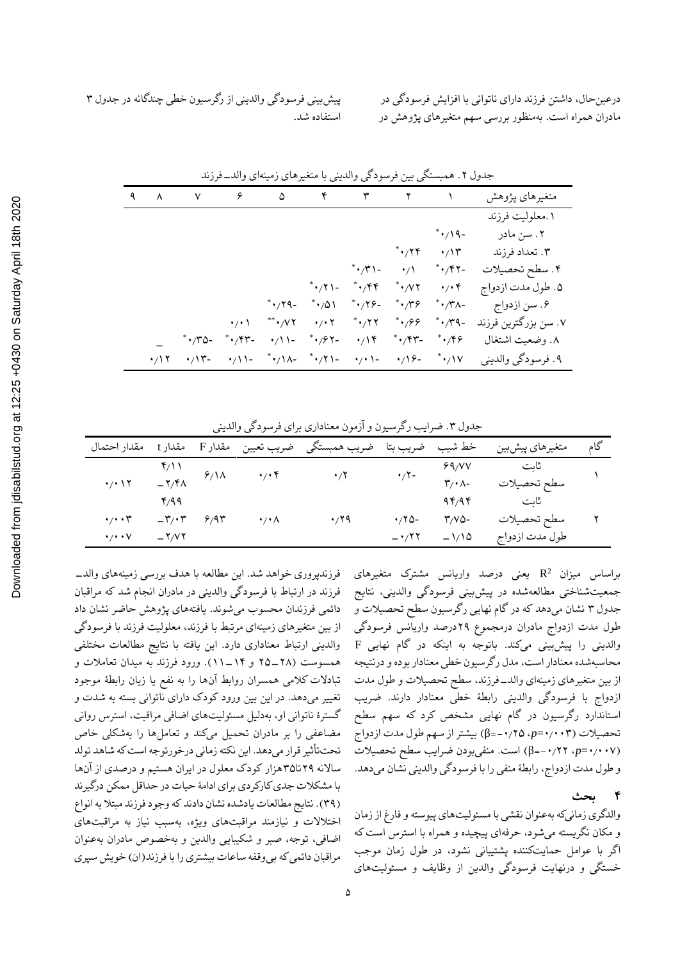| پیش بینی فرسودگی والدینی از رگرسیون خطی چندگانه در جدول ۳ |  |
|-----------------------------------------------------------|--|
| استفاده شد.                                               |  |

درعینحال، داشتن فرزند دارای ناتوانی با افزایش فرسودگی در مادران همراه است. بهمنظور بررسی سهم متغیرهای پژوهش در

|         | $\begin{array}{ccccccccccccccccccccc} \mathcal{A} & \mathcal{N} & \mathcal{N} & \mathcal{S} & \mathcal{S} & \mathcal{S} & \mathcal{N} & \mathcal{N} & \mathcal{N} & \mathcal{N} & \mathcal{N} \end{array}$ |                                |                                  |                          |                               |                                                        |                                  | متغيرهاي پژوهش       |
|---------|------------------------------------------------------------------------------------------------------------------------------------------------------------------------------------------------------------|--------------------------------|----------------------------------|--------------------------|-------------------------------|--------------------------------------------------------|----------------------------------|----------------------|
|         |                                                                                                                                                                                                            |                                |                                  |                          |                               |                                                        |                                  | ۱ .معلوليت فرزند     |
|         |                                                                                                                                                                                                            |                                |                                  |                          |                               |                                                        | $^*$ $\cdot$ / \ 9 -             | ۲. سن مادر           |
|         |                                                                                                                                                                                                            |                                |                                  |                          |                               | $^*$ $\cdot$ / ۲۴                                      | $\cdot/\prime$                   | ۳. تعداد فرزند       |
|         |                                                                                                                                                                                                            |                                |                                  |                          | $^*$ $\cdot$ / $\uparrow$ \ - | $\cdot/$                                               | $^*$ $\cdot$ / $\zeta$ $\zeta$ - | ۴. سطح تحصيلات       |
|         |                                                                                                                                                                                                            |                                |                                  |                          | ***/71- ***/44                | $^*$ $\cdot$ $/$ $\vee$ $\cdot$ $/$ $\cdot$ $\uparrow$ |                                  | ۵. طول مدت ازدواج    |
|         |                                                                                                                                                                                                            |                                | $^*$ $\cdot$ / $\gamma$ ۹ –      | $^*{\cdot}$ 1            | $^*,79-$                      | $^{\ast}\cdot$ /۳۶                                     | $^*$ $\cdot$ /۳۸-                | ۶. سن ازدواج         |
|         |                                                                                                                                                                                                            |                                |                                  |                          |                               |                                                        | $^*$ $\cdot$ /۳۹ -               | ۰۷ سن بزرگترین فرزند |
|         | -۰٬۳۵                                                                                                                                                                                                      | $^*$ $\cdot$ / $\gamma$ $\sim$ |                                  | $\cdot / 1  \cdot / 5 -$ |                               | $\cdot$ /14 $\cdot$ /94 $\cdot$ /96                    |                                  | ٨. وضعيت اشتغال      |
| $\cdot$ | $\cdot/\Upsilon$ -                                                                                                                                                                                         | $\cdot / 1 -$                  | ***/1^- **/71- */*1- */1&- **/1V |                          |                               |                                                        |                                  | ۹. فرسودگي والديني   |

جدول ۲. همبستگی بین فرسودگی والدینی با متغیرهای زمینهای والد\_فرزند

جدول ۳. ضرایب رگرسیون و آزمون معناداری برای فرسودگی والدینی

| مقدار احتمال                | مقدار t        | مقدار F                                               |                            | خط شیب ضریب بتا ضریب همبستگی ضریب تعیین |             |                               | متغيرهاي پيشبين     | گام |
|-----------------------------|----------------|-------------------------------------------------------|----------------------------|-----------------------------------------|-------------|-------------------------------|---------------------|-----|
|                             |                |                                                       | $\cdot/\cdot$              |                                         | $\cdot$ /۲- | 89/VV                         |                     |     |
| $\cdot$ / $\cdot$ \ $\cdot$ |                | $Y/11$<br>- $Y/4$ $Y/1$                               |                            | $\cdot$ /۲                              |             | $\mathbf{r}/\cdot \mathbf{A}$ | ثابت<br>سطح تحصیلات |     |
|                             |                |                                                       |                            |                                         |             | ۹۴/۹۴                         | ثابت                |     |
| $\cdot$ / $\cdot$ r         |                | $-\mathbf{r}/\cdot\mathbf{r}$ $\mathbf{r}/\mathbf{r}$ | $\cdot$ / $\cdot$ $\wedge$ | $\cdot$ 19                              | $.70 -$     | -۳/۷۵                         | سطح تحصيلات         |     |
| $\cdot$ / $\cdot$ $\vee$    | $-\frac{1}{2}$ |                                                       |                            |                                         | $-177$      | $-1/10$                       | طول مدت ازدواج      |     |

2 براساس میزان R یعنی درصد واریانس مشترک متغیرهای جمعیتشناختی مطالعهشده در پیشبینی فرسودگی والدینی، نتایج جدول ۳ نشان میدهد که در گام نهایی رگرسیون سطح تحصیالت و طول مدت ازدواج مادران درمجموع ۲۹درصد واریانس فرسودگی والدینی را پیشبینی میکند. باتوجه به اینکه در گام نهایی F محاسبهشده معنادار است، مدل رگرسیون خطی معنادار بوده و درنتیجه از بین متغیرهای زمینهای والد-فرزند، سطح تحصیالت و طول مدت ازدواج با فرسودگی والدینی رابطٔه خطی معنادار دارند. ضریب استاندارد رگرسیون در گام نهایی مشخص کرد که سهم سطح تحصیالت )۰٫۰۰۳=*p*، -۰٫۲۵=β )بیشتر از سهم طول مدت ازدواج )۰٫۰۰۷=*p*، -۰٫۲۲=β )است. منفیبودن ضرایب سطح تحصیالت و طول مدت ازدواج، رابطٔه منفی را با فرسودگی والدینی نشان میدهد.

**4 بحث** والدگری زمانیکه بهعنوان نقشی با مسئولیتهای پیوسته و فارغ از زمان و مکان نگریسته میشود، حرفهای پیچیده و همراه با استرس است که اگر با عوامل حمایتکننده پشتیبانی نشود، در طول زمان موجب خستگی و درنهایت فرسودگی والدین از وظایف و مسئولیتهای

فرزندپروری خواهد شد. این مطالعه با هدف بررسی زمینههای والد- فرزند در ارتباط با فرسودگی والدینی در مادران انجام شد که مراقبان دائمی فرزندان محسوب میشوند. یافتههای پژوهش حاضر نشان داد از بین متغیرهای زمینهای مرتبط با فرزند، معلولیت فرزند با فرسودگی والدینی ارتباط معناداری دارد. این یافته با نتایج مطالعات مختلفی همسوست )۲۵-۲۸ و 11-1۴(. ورود فرزند به میدان تعامالت و تبادالت کالمی همسران روابط آنها را به نفع یا زیان رابطٔه موجود تغییر میدهد. در این بین ورود کودک دارای ناتوانی بسته به شدت و گسترٔه ناتوانی او، بهدلیل مسئولیتهای اضافی مراقبت، استرس روانی مضاعفی را بر مادران تحمیل میکند و تعاملها را بهشکلی خاص تحتتأثیر قرار میدهد. این نکته زمانی درخورتوجه است که شاهد تولد ساالنه ۲۹تا۳۵هزار کودک معلول در ایران هستیم و درصدی از آنها با مشکالت جدی کارکردی برای ادامٔه حیات در حداقل ممکن درگیرند )۳۹(. نتایج مطالعات یادشده نشان دادند که وجود فرزند مبتال به انواع اختالالت و نیازمند مراقبتهای ویژه، بهسبب نیاز به مراقبتهای اضافی، توجه، صبر و شکیبایی والدین و بهخصوص مادران بهعنوان مراقبان دائمی که بیوقفه ساعات بیشتری را با فرزند)ان( خویش سپری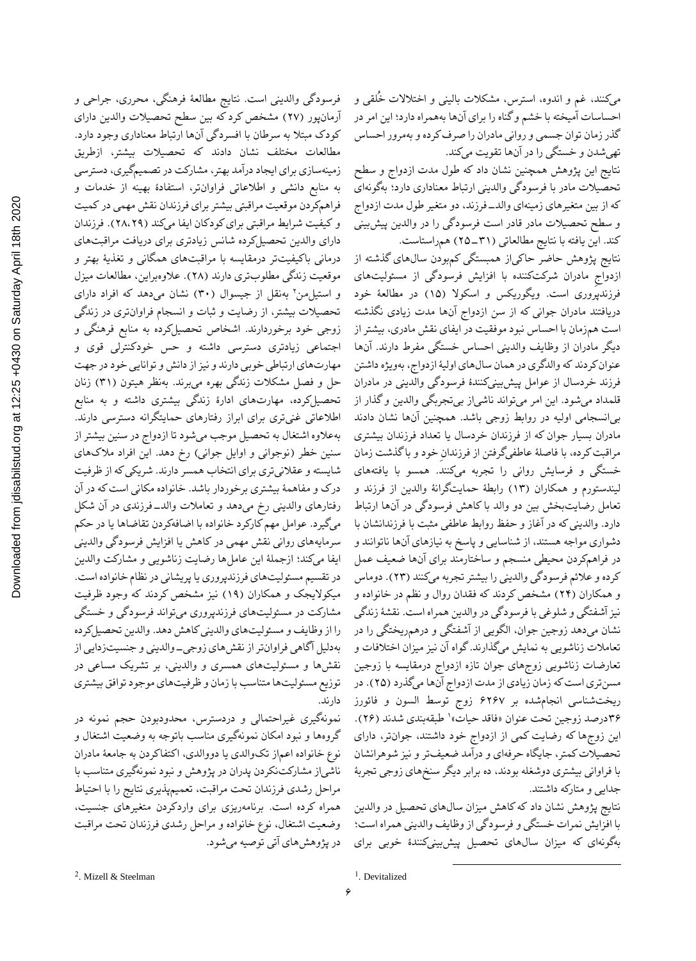نتایج این پژوهش همچنین نشان داد که طول مدت ازدواج و سطح تحصیالت مادر با فرسودگی والدینی ارتباط معناداری دارد؛ بهگونهای که از بین متغیرهای زمینهای والد-فرزند، دو متغیر طول مدت ازدواج و سطح تحصیالت مادر قادر است فرسودگی را در والدین پیشبینی کند. این یافته با نتایج مطالعاتی )۲۵-۳1( همراستاست.

نتایج پژوهش حاضر حاکیاز همبستگی کمبودن سالهای گذشته از ازدواجِ مادران شرکتکننده با افزایش فرسودگی از مسئولیتهای فرزندپروری است. ویگوریکس و اسکوال )1۵( در مطالعٔه خود دریافتند مادران جوانی که از سن ازدواج آنها مدت زیادی نگذشته است همزمان با احساس نبود موفقیت در ایفای نقش مادری، بیشتر از دیگر مادران از وظایف والدینی احساس خستگی مفرط دارند. آنها عنوان کردند که والدگری در همان سالهای اولیٔه ازدواج، بهویژه داشتن فرزند خردسال از عوامل پیشبینیکنندٔه فرسودگی والدینی در مادران قلمداد میشود. این امر میتواند ناشیاز بیتجربگی والدین و گذار از بیانسجامی اولیه در روابط زوجی باشد. همچنین آنها نشان دادند مادران بسیار جوان که از فرزندان خردسال یا تعداد فرزندان بیشتری مراقبت کرده، با فاصلٔه عاطفیگرفتن از فرزندانِ خود و با گذشت زمان خستگی و فرسایش روانی را تجربه میکنند. همسو با یافتههای لیندستورم و همکاران )1۳( رابطٔه حمایتگرانٔه والدین از فرزند و تعامل رضایتبخش بین دو والد با کاهش فرسودگی در آنها ارتباط دارد. والدینی که در آغاز و حفظ روابط عاطفی مثبت با فرزندانشان با دشواری مواجه هستند، از شناسایی و پاسخ به نیازهای آنها ناتوانند و در فراهمکردن محیطی منسجم و ساختارمند برای آنها ضعیف عمل کرده و عالئم فرسودگی والدینی را بیشتر تجربه میکنند )۲۳(. دوماس و همکاران )۲۴( مشخص کردند که فقدان روال و نظم در خانواده و نیز آشفتگی و شلوغی با فرسودگی در والدین همراه است. نقشٔه زندگی نشان میدهد زوجین جوان، الگویی از آشفتگی و درهمریختگی را در تعامالت زناشویی به نمایش میگذارند. گواه آن نیز میزان اختالفات و تعارضات زناشویی زوجهای جوان تازه ازدواج درمقایسه با زوجین مسنتری استکه زمان زیادی از مدت ازدواج آنها میگذرد )۲۵(. در ریختشناسی انجامشده بر ۶۲۶۷ زوج توسط السون و فائورز 1 ۳۶درصد زوجین تحت عنوان »فاقد حیات« طبقهبندی شدند )۲۶(. این زوجها که رضایت کمی از ازدواج خود داشتند، جوانتر، دارای تحصیالت کمتر، جایگاه حرفهای و درآمد ضعیفتر و نیز شوهرانشان با فراوانی بیشتری دوشغله بودند، ده برابر دیگر سنخهای زوجی تجربٔه جدایی و متارکه داشتند.

نتایج پژوهش نشان داد که کاهش میزان سالهای تحصیل در والدین با افزایش نمرات خستگی و فرسودگی از وظایف والدینی همراه است؛ بهگونهای که میزان سالهای تحصیل پیشبینیکنندٔه خوبی برای

فرسودگی والدینی است. نتایج مطالعٔه فرهنگی، محرری، جراحی و آرمانپور )۲۷( مشخص کرد که بین سطح تحصیالت والدین دارای کودک مبتال به سرطان با افسردگی آنها ارتباط معناداری وجود دارد. مطالعات مختلف نشان دادند که تحصیالت بیشتر، ازطریق زمینهسازی برای ایجاد درآمد بهتر، مشارکت در تصمیمگیری، دسترسی به منابع دانشی و اطالعاتی فراوانتر، استفادٔه بهینه از خدمات و فراهمکردن موقعیت مراقبتی بیشتر برای فرزندان نقش مهمی در کمیت و کیفیت شرایط مراقبتی برای کودکان ایفا میکند )۲۸،۲۹(. فرزندان دارای والدین تحصیلکرده شانس زیادتری برای دریافت مراقبتهای درمانی باکیفیتتر درمقایسه با مراقبتهای همگانی و تغذیٔه بهتر و موقعیت زندگی مطلوبتری دارند )۲۸(. عالوهبراین، مطالعات میزل و استیل من ۲ بهنقل از جیسوال (۳۰) نشان میدهد که افراد دارای تحصیالت بیشتر، از رضایت و ثبات و انسجام فراوانتری در زندگی زوجی خود برخوردارند. اشخاص تحصیلکرده به منابع فرهنگی و اجتماعی زیادتری دسترسی داشته و حس خودکنترلی قوی و مهارتهای ارتباطی خوبی دارند و نیز ازدانش و توانایی خود در جهت حل و فصل مشکالت زندگی بهره میبرند. بهنظر هیتون )۳1( زنان تحصیلکرده، مهارتهای ادارٔه زندگی بیشتری داشته و به منابع اطالعاتی غنیتری برای ابراز رفتارهای حمایتگرانه دسترسی دارند. بهعالوه اشتغال به تحصیل موجب میشود تا ازدواج در سنین بیشتر از سنین خطر (نوجوانی و اوایل جوانی) رخ دهد. این افراد ملاکهای شایسته و عقالنیتری برای انتخاب همسر دارند. شریکی که از ظرفیت درک و مفاهمٔه بیشتری برخوردار باشد. خانواده مکانی است که در آن رفتارهای والدینی رخ میدهد و تعامالت والد-فرزندی در آن شکل میگیرد. عوامل مهم کارکرد خانواده با اضافهکردن تقاضاها یا در حکم سرمایههای روانی نقش مهمی در کاهش یا افزایش فرسودگی والدینی ایفا میکند؛ ازجملٔه این عاملها رضایت زناشویی و مشارکت والدین در تقسیم مسئولیتهای فرزندپروری یا پریشانی در نظام خانواده است. میکوالیجک و همکاران )1۹( نیز مشخص کردند که وجود ظرفیت مشارکت در مسئولیتهای فرزندپروری میتواند فرسودگی و خستگی را از وظایف و مسئولیتهای والدینیکاهش دهد. والدین تحصیلکرده بهدلیل آگاهی فراوانتر از نقشهای زوجی-والدینی و جنسیتزدایی از نقشها و مسئولیتهای همسری و والدینی، بر تشریک مساعی در توزیع مسئولیتها متناسب با زمان و ظرفیتهای موجود توافق بیشتری دارند.

نمونهگیری غیراحتمالی و دردسترس، محدودبودن حجم نمونه در گروهها و نبود امکان نمونهگیری مناسب باتوجه به وضعیت اشتغال و نوع خانواده اعماز تکوالدی یا دووالدی، اکتفاکردن به جامعٔه مادران ناشیاز مشارکتنکردن پدران در پژوهش و نبود نمونهگیری متناسب با مراحل رشدی فرزندان تحت مراقبت، تعمیمپذیری نتایج را با احتیاط همراه کرده است. برنامهریزی برای واردکردن متغیرهای جنسیت، وضعیت اشتغال، نوع خانواده و مراحل رشدی فرزندان تحت مراقبت در پژوهشهای آتی توصیه میشود.

<sup>&</sup>lt;sup>1</sup>. Devitalized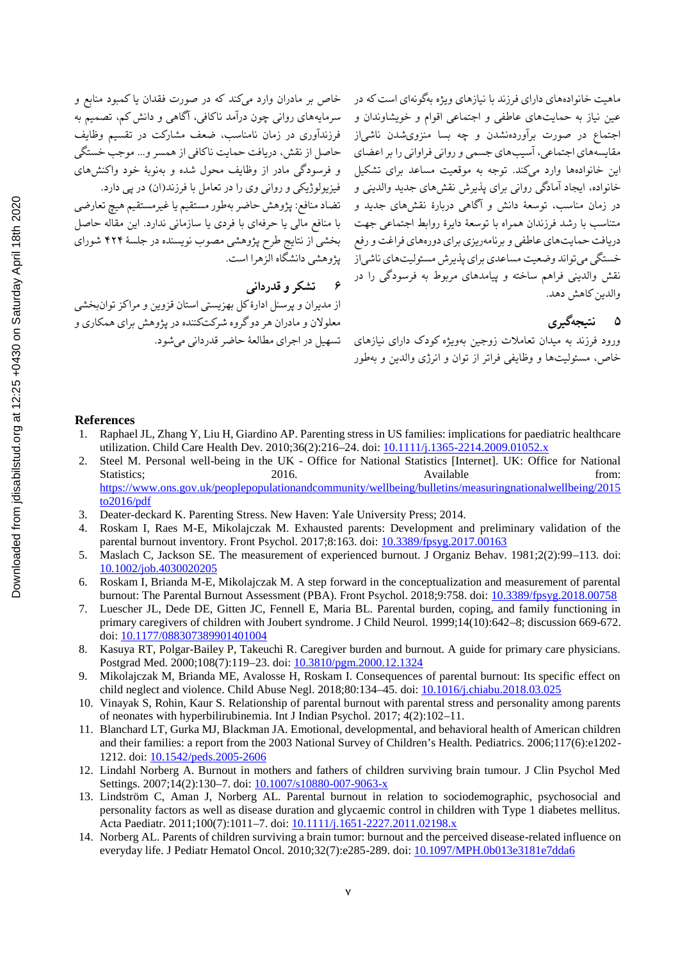## **6 تشکر و قدردانی**

از مدیران و پرسنل ادارٔه کل بهزیستی استان قزوین و مراکز توانبخشی معلوالن و مادران هر دو گروه شرکتکننده در پژوهش برای همکاری و

ماهیت خانوادههای دارای فرزند با نیازهای ویژه بهگونهای است که در مسخاص بر مادران وارد میکند که در صورت فقدان یا کمبود منابع و عین نیاز به حمایتهای عاطفی و اجتماعی اقوام و خویشاوندان و سرمایههای روانی چون درامد ناکافی، اگاهی و دانش کم، تصمیم به اجتماع در صورت براوردهنشدن و چه بسا منزویشدن ناشی|ز فرزنداوری در زمان نامناسب، ضعف مشارکت در تقسیم وظایف مقایسههای اجتماعی، اسیبهای جسمی و روانی فراوانی را بر اعضای محاصل از نقش، دریافت حمایت ناکافی از همسر و… موجب خستگی این خانوادهها وارد میکند. توجه به موقعیت مساعد برای تشکیل ٪و فرسودگی مادر از وظایف محول شده و بهنوبهٔ خود واکنشهای خانواده، ایجاد امادگی روانی برای پذیرش نقشهای جدید والدینی و گفیزیولوژیکی و روانی وی را در تعامل با فرزند(ان) در پی دارد. در زمان مناسب، توسعهٔ دانش و آگاهی دربارهٔ نقشهای جدید و تضاد منافع: پژوهش حاضر بهطور مستقیم یا غیرمستقیم هیچ تعارضی متناسب با رشد فرزندان همراه با توسعهٔ دایرهٔ روابط اجتماعی جهت مبا منافع مالی یا حرفهای با فردی یا سازمانی ندارد. این مقاله حاصل دریافت حمایتهای عاطفی و برنامهریزی برای دورههای فراغت و رفع مسبحشی از نتایج طرح پژوهشی مصوب نویسنده در جلسهٔ ۴۲۴ شورای خستگی میتواند وضعیت مساعدی برای پذیرش مسئولیتهای ناشیاز پژوهشی دانشگاه الزهرا است. نقش والدینی فراهم ساخته و پیامدهای مربوط به فرسودگی را در والدین کاهش دهد.

# **۵ نتیجهگیری**

ورود فرزند به میدان تعامالت زوجین بهویژه کودک دارای نیازهای تسهیل در اجرای مطالعٔه حاضر قدردانی میشود. خاص، مسئولیتها و وظایفی فراتر از توان و انرژی والدین و بهطور

#### **References**

- 1. Raphael JL, Zhang Y, Liu H, Giardino AP. Parenting stress in US families: implications for paediatric healthcare utilization. Child Care Health Dev. 2010;36(2):216–24. doi: 10.1111/j.1365-2214.2009.01052.x
- 2. Steel M. Personal well-being in the UK Office for National Statistics [Internet]. UK: Office for National Statistics; 2016. 2016. Available from: https://www.ons.gov.uk/peoplepopulationandcommunity/wellbeing/bulletins/measuringnationalwellbeing/2015 to2016/pdf
- 3. Deater-deckard K. Parenting Stress. New Haven: Yale University Press; 2014.
- 4. Roskam I, Raes M-E, Mikolajczak M. Exhausted parents: Development and preliminary validation of the parental burnout inventory. Front Psychol. 2017;8:163. doi: 10.3389/fpsyg.2017.00163
- 5. Maslach C, Jackson SE. The measurement of experienced burnout. J Organiz Behav. 1981;2(2):99–113. doi: 10.1002/job.4030020205
- 6. Roskam I, Brianda M-E, Mikolajczak M. A step forward in the conceptualization and measurement of parental burnout: The Parental Burnout Assessment (PBA). Front Psychol. 2018;9:758. doi: 10.3389/fpsyg.2018.00758
- 7. Luescher JL, Dede DE, Gitten JC, Fennell E, Maria BL. Parental burden, coping, and family functioning in primary caregivers of children with Joubert syndrome. J Child Neurol. 1999;14(10):642–8; discussion 669-672. doi: 10.1177/088307389901401004
- 8. Kasuya RT, Polgar-Bailey P, Takeuchi R. Caregiver burden and burnout. A guide for primary care physicians. Postgrad Med. 2000;108(7):119–23. doi: 10.3810/pgm.2000.12.1324
- 9. Mikolajczak M, Brianda ME, Avalosse H, Roskam I. Consequences of parental burnout: Its specific effect on child neglect and violence. Child Abuse Negl. 2018;80:134–45. doi: 10.1016/j.chiabu.2018.03.025
- 10. Vinayak S, Rohin, Kaur S. Relationship of parental burnout with parental stress and personality among parents of neonates with hyperbilirubinemia. Int J Indian Psychol. 2017; 4(2):102–11.
- 11. Blanchard LT, Gurka MJ, Blackman JA. Emotional, developmental, and behavioral health of American children and their families: a report from the 2003 National Survey of Children's Health. Pediatrics. 2006;117(6):e1202- 1212. doi: 10.1542/peds.2005-2606
- 12. Lindahl Norberg A. Burnout in mothers and fathers of children surviving brain tumour. J Clin Psychol Med Settings. 2007;14(2):130-7. doi: 10.1007/s10880-007-9063-x
- 13. Lindström C, Aman J, Norberg AL. Parental burnout in relation to sociodemographic, psychosocial and personality factors as well as disease duration and glycaemic control in children with Type 1 diabetes mellitus. Acta Paediatr. 2011;100(7):1011-7. doi: 10.1111/j.1651-2227.2011.02198.x
- 14. Norberg AL. Parents of children surviving a brain tumor: burnout and the perceived disease-related influence on everyday life. J Pediatr Hematol Oncol. 2010;32(7):e285-289. doi: 10.1097/MPH.0b013e3181e7dda6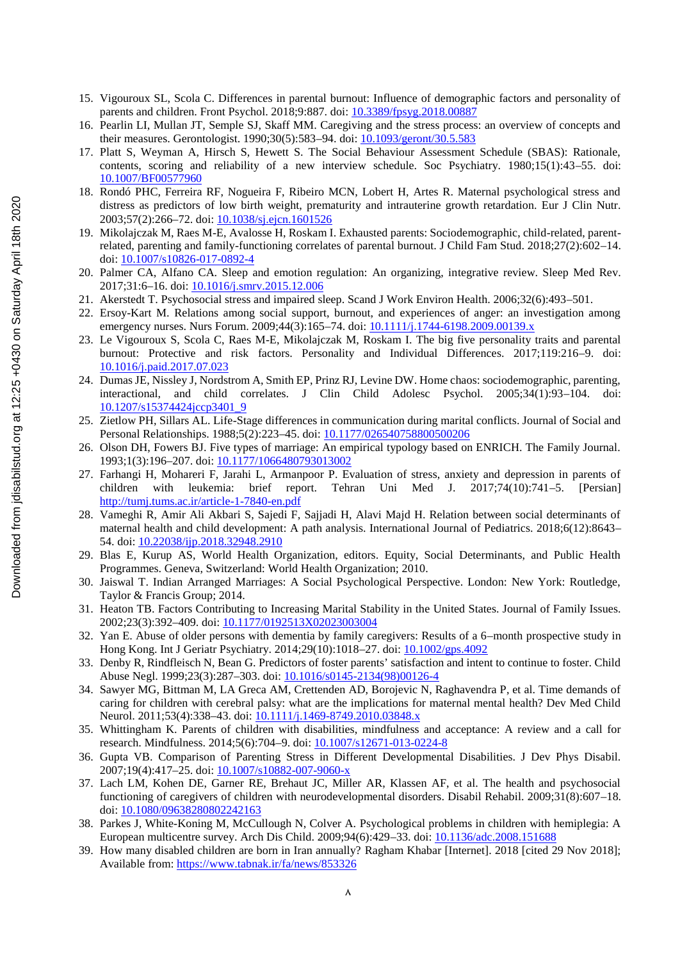- 15. Vigouroux SL, Scola C. Differences in parental burnout: Influence of demographic factors and personality of parents and children. Front Psychol. 2018;9:887. doi: 10.3389/fpsyg.2018.00887
- 16. Pearlin LI, Mullan JT, Semple SJ, Skaff MM. Caregiving and the stress process: an overview of concepts and their measures. Gerontologist. 1990;30(5):583–94. doi: 10.1093/geront/30.5.583
- 17. Platt S, Weyman A, Hirsch S, Hewett S. The Social Behaviour Assessment Schedule (SBAS): Rationale, contents, scoring and reliability of a new interview schedule. Soc Psychiatry. 1980;15(1):43–55. doi: 10.1007/BF00577960
- 18. Rondó PHC, Ferreira RF, Nogueira F, Ribeiro MCN, Lobert H, Artes R. Maternal psychological stress and distress as predictors of low birth weight, prematurity and intrauterine growth retardation. Eur J Clin Nutr. 2003;57(2):266-72. doi: 10.1038/sj.ejcn.1601526
- 19. Mikolajczak M, Raes M-E, Avalosse H, Roskam I. Exhausted parents: Sociodemographic, child-related, parentrelated, parenting and family-functioning correlates of parental burnout. J Child Fam Stud. 2018;27(2):602–14. doi: 10.1007/s10826-017-0892-4
- 20. Palmer CA, Alfano CA. Sleep and emotion regulation: An organizing, integrative review. Sleep Med Rev. 2017;31:6–16. doi: 10.1016/j.smrv.2015.12.006
- 21. Akerstedt T. Psychosocial stress and impaired sleep. Scand J Work Environ Health. 2006;32(6):493–501.
- 22. Ersoy-Kart M. Relations among social support, burnout, and experiences of anger: an investigation among emergency nurses. Nurs Forum. 2009;44(3):165-74. doi: 10.1111/j.1744-6198.2009.00139.x
- 23. Le Vigouroux S, Scola C, Raes M-E, Mikolajczak M, Roskam I. The big five personality traits and parental burnout: Protective and risk factors. Personality and Individual Differences. 2017;119:216–9. doi: 10.1016/j.paid.2017.07.023
- 24. Dumas JE, Nissley J, Nordstrom A, Smith EP, Prinz RJ, Levine DW. Home chaos: sociodemographic, parenting, interactional, and child correlates. J Clin Child Adolesc Psychol. 2005;34(1):93–104. doi: 10.1207/s15374424jccp3401\_9
- 25. Zietlow PH, Sillars AL. Life-Stage differences in communication during marital conflicts. Journal of Social and Personal Relationships. 1988;5(2):223–45. doi: 10.1177/026540758800500206
- 26. Olson DH, Fowers BJ. Five types of marriage: An empirical typology based on ENRICH. The Family Journal. 1993;1(3):196–207. doi: 10.1177/1066480793013002
- 27. Farhangi H, Mohareri F, Jarahi L, Armanpoor P. Evaluation of stress, anxiety and depression in parents of children with leukemia: brief report. Tehran Uni Med J. 2017;74(10):741–5. [Persian] http://tumj.tums.ac.ir/article-1-7840-en.pdf
- 28. Vameghi R, Amir Ali Akbari S, Sajedi F, Sajjadi H, Alavi Majd H. Relation between social determinants of maternal health and child development: A path analysis. International Journal of Pediatrics. 2018;6(12):8643– 54. doi: 10.22038/ijp.2018.32948.2910
- 29. Blas E, Kurup AS, World Health Organization, editors. Equity, Social Determinants, and Public Health Programmes. Geneva, Switzerland: World Health Organization; 2010.
- 30. Jaiswal T. Indian Arranged Marriages: A Social Psychological Perspective. London: New York: Routledge, Taylor & Francis Group; 2014.
- 31. Heaton TB. Factors Contributing to Increasing Marital Stability in the United States. Journal of Family Issues. 2002;23(3):392–409. doi: 10.1177/0192513X02023003004
- 32. Yan E. Abuse of older persons with dementia by family caregivers: Results of a 6–month prospective study in Hong Kong. Int J Geriatr Psychiatry. 2014;29(10):1018–27. doi: 10.1002/gps.4092
- 33. Denby R, Rindfleisch N, Bean G. Predictors of foster parents' satisfaction and intent to continue to foster. Child Abuse Negl. 1999;23(3):287–303. doi: 10.1016/s0145-2134(98)00126-4
- 34. Sawyer MG, Bittman M, LA Greca AM, Crettenden AD, Borojevic N, Raghavendra P, et al. Time demands of caring for children with cerebral palsy: what are the implications for maternal mental health? Dev Med Child Neurol. 2011;53(4):338-43. doi: 10.1111/j.1469-8749.2010.03848.x
- 35. Whittingham K. Parents of children with disabilities, mindfulness and acceptance: A review and a call for research. Mindfulness. 2014;5(6):704–9. doi: 10.1007/s12671-013-0224-8
- 36. Gupta VB. Comparison of Parenting Stress in Different Developmental Disabilities. J Dev Phys Disabil. 2007;19(4):417–25. doi: 10.1007/s10882-007-9060-x
- 37. Lach LM, Kohen DE, Garner RE, Brehaut JC, Miller AR, Klassen AF, et al. The health and psychosocial functioning of caregivers of children with neurodevelopmental disorders. Disabil Rehabil. 2009;31(8):607–18. doi: 10.1080/09638280802242163
- 38. Parkes J, White-Koning M, McCullough N, Colver A. Psychological problems in children with hemiplegia: A European multicentre survey. Arch Dis Child. 2009;94(6):429–33. doi: 10.1136/adc.2008.151688
- 39. How many disabled children are born in Iran annually? Ragham Khabar [Internet]. 2018 [cited 29 Nov 2018]; Available from: https://www.tabnak.ir/fa/news/853326